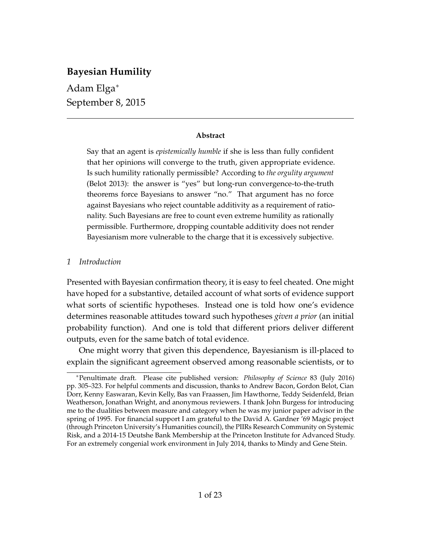# **Bayesian Humility**

Adam Elga<sup>∗</sup> September 8, 2015

## **Abstract**

Say that an agent is *epistemically humble* if she is less than fully confident that her opinions will converge to the truth, given appropriate evidence. Is such humility rationally permissible? According to *the orgulity argument* (Belot 2013): the answer is "yes" but long-run convergence-to-the-truth theorems force Bayesians to answer "no." That argument has no force against Bayesians who reject countable additivity as a requirement of rationality. Such Bayesians are free to count even extreme humility as rationally permissible. Furthermore, dropping countable additivity does not render Bayesianism more vulnerable to the charge that it is excessively subjective.

## *1 Introduction*

Presented with Bayesian confirmation theory, it is easy to feel cheated. One might have hoped for a substantive, detailed account of what sorts of evidence support what sorts of scientific hypotheses. Instead one is told how one's evidence determines reasonable attitudes toward such hypotheses *given a prior* (an initial probability function). And one is told that different priors deliver different outputs, even for the same batch of total evidence.

One might worry that given this dependence, Bayesianism is ill-placed to explain the significant agreement observed among reasonable scientists, or to

<sup>∗</sup>Penultimate draft. Please cite published version: *Philosophy of Science* 83 (July 2016) pp. 305–323. For helpful comments and discussion, thanks to Andrew Bacon, Gordon Belot, Cian Dorr, Kenny Easwaran, Kevin Kelly, Bas van Fraassen, Jim Hawthorne, Teddy Seidenfeld, Brian Weatherson, Jonathan Wright, and anonymous reviewers. I thank John Burgess for introducing me to the dualities between measure and category when he was my junior paper advisor in the spring of 1995. For financial support I am grateful to the David A. Gardner '69 Magic project (through Princeton University's Humanities council), the PIIRs Research Community on Systemic Risk, and a 2014-15 Deutshe Bank Membership at the Princeton Institute for Advanced Study. For an extremely congenial work environment in July 2014, thanks to Mindy and Gene Stein.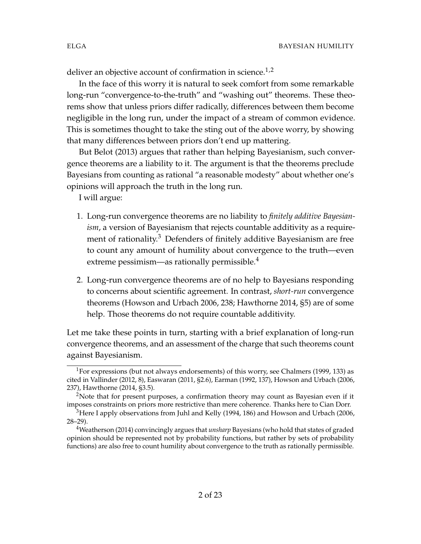deliver an objective account of confirmation in science.<sup>1,2</sup>

In the face of this worry it is natural to seek comfort from some remarkable long-run "convergence-to-the-truth" and "washing out" theorems. These theorems show that unless priors differ radically, differences between them become negligible in the long run, under the impact of a stream of common evidence. This is sometimes thought to take the sting out of the above worry, by showing that many differences between priors don't end up mattering.

But Belot (2013) argues that rather than helping Bayesianism, such convergence theorems are a liability to it. The argument is that the theorems preclude Bayesians from counting as rational "a reasonable modesty" about whether one's opinions will approach the truth in the long run.

I will argue:

- 1. Long-run convergence theorems are no liability to *finitely additive Bayesianism*, a version of Bayesianism that rejects countable additivity as a requirement of rationality.<sup>3</sup> Defenders of finitely additive Bayesianism are free to count any amount of humility about convergence to the truth—even extreme pessimism—as rationally permissible.<sup>4</sup>
- 2. Long-run convergence theorems are of no help to Bayesians responding to concerns about scientific agreement. In contrast, *short-run* convergence theorems (Howson and Urbach 2006, 238; Hawthorne 2014, §5) are of some help. Those theorems do not require countable additivity.

Let me take these points in turn, starting with a brief explanation of long-run convergence theorems, and an assessment of the charge that such theorems count against Bayesianism.

<sup>1</sup>For expressions (but not always endorsements) of this worry, see Chalmers (1999, 133) as cited in Vallinder (2012, 8), Easwaran (2011, §2.6), Earman (1992, 137), Howson and Urbach (2006, 237), Hawthorne (2014, §3.5).

<sup>&</sup>lt;sup>2</sup>Note that for present purposes, a confirmation theory may count as Bayesian even if it imposes constraints on priors more restrictive than mere coherence. Thanks here to Cian Dorr.

 $3$ Here I apply observations from Juhl and Kelly (1994, 186) and Howson and Urbach (2006, 28–29).

<sup>4</sup>Weatherson (2014) convincingly argues that *unsharp* Bayesians (who hold that states of graded opinion should be represented not by probability functions, but rather by sets of probability functions) are also free to count humility about convergence to the truth as rationally permissible.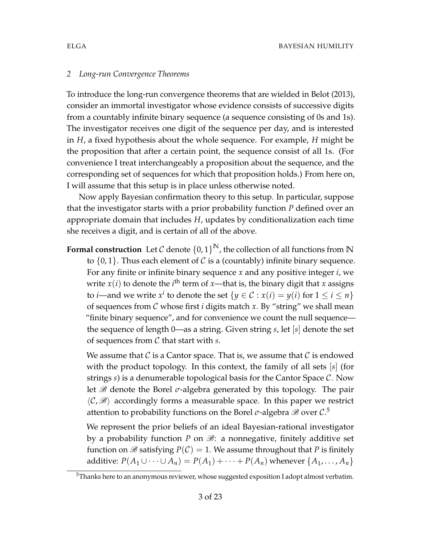### *2 Long-run Convergence Theorems*

To introduce the long-run convergence theorems that are wielded in Belot (2013), consider an immortal investigator whose evidence consists of successive digits from a countably infinite binary sequence (a sequence consisting of 0s and 1s). The investigator receives one digit of the sequence per day, and is interested in *H*, a fixed hypothesis about the whole sequence. For example, *H* might be the proposition that after a certain point, the sequence consist of all 1s. (For convenience I treat interchangeably a proposition about the sequence, and the corresponding set of sequences for which that proposition holds.) From here on, I will assume that this setup is in place unless otherwise noted.

Now apply Bayesian confirmation theory to this setup. In particular, suppose that the investigator starts with a prior probability function *P* defined over an appropriate domain that includes *H*, updates by conditionalization each time she receives a digit, and is certain of all of the above.

**Formal construction** Let  $\mathcal C$  denote  $\{0,1\}^{\mathbb N}$ , the collection of all functions from  $\mathbb N$ to  $\{0,1\}$ . Thus each element of C is a (countably) infinite binary sequence. For any finite or infinite binary sequence *x* and any positive integer *i*, we write  $x(i)$  to denote the *i*<sup>th</sup> term of *x*—that is, the binary digit that *x* assigns to *i*—and we write  $x^i$  to denote the set  $\{y \in \mathcal{C} : x(i) = y(i) \text{ for } 1 \leq i \leq n\}$ of sequences from C whose first *i* digits match *x*. By "string" we shall mean "finite binary sequence", and for convenience we count the null sequence the sequence of length 0—as a string. Given string *s*, let [*s*] denote the set of sequences from C that start with *s*.

We assume that C is a Cantor space. That is, we assume that C is endowed with the product topology. In this context, the family of all sets [*s*] (for strings *s*) is a denumerable topological basis for the Cantor Space C. Now let  $\mathscr B$  denote the Borel  $\sigma$ -algebra generated by this topology. The pair  $\langle \mathcal{C}, \mathcal{B} \rangle$  accordingly forms a measurable space. In this paper we restrict attention to probability functions on the Borel  $\sigma$ -algebra  ${\mathscr B}$  over  ${\mathcal C}$ .<sup>5</sup>

We represent the prior beliefs of an ideal Bayesian-rational investigator by a probability function  $P$  on  $\mathscr{B}$ : a nonnegative, finitely additive set function on  $\mathscr B$  satisfying  $P(\mathcal C) = 1$ . We assume throughout that *P* is finitely additive:  $P(A_1 \cup \cdots \cup A_n) = P(A_1) + \cdots + P(A_n)$  whenever  $\{A_1, \ldots, A_n\}$ 

<sup>&</sup>lt;sup>5</sup>Thanks here to an anonymous reviewer, whose suggested exposition I adopt almost verbatim.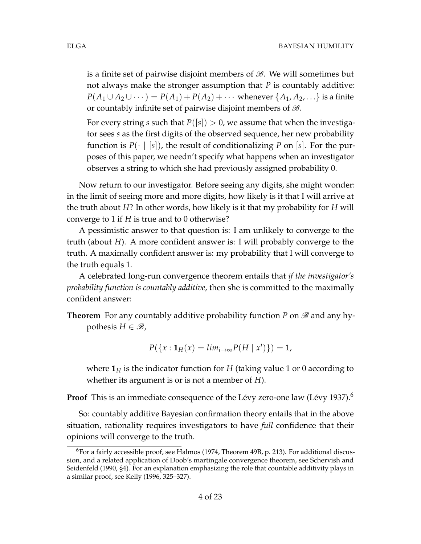is a finite set of pairwise disjoint members of  $\mathscr{B}$ . We will sometimes but not always make the stronger assumption that *P* is countably additive: *P*(*A*<sub>1</sub> ∪ *A*<sub>2</sub> ∪ · · · ) = *P*(*A*<sub>1</sub>) + *P*(*A*<sub>2</sub>) + · · · · whenever {*A*<sub>1</sub>, *A*<sub>2</sub>, . . .} is a finite or countably infinite set of pairwise disjoint members of  $\mathscr{B}$ .

For every string *s* such that  $P([s]) > 0$ , we assume that when the investigator sees *s* as the first digits of the observed sequence, her new probability function is  $P(\cdot | [s])$ , the result of conditionalizing P on [s]. For the purposes of this paper, we needn't specify what happens when an investigator observes a string to which she had previously assigned probability 0.

Now return to our investigator. Before seeing any digits, she might wonder: in the limit of seeing more and more digits, how likely is it that I will arrive at the truth about *H*? In other words, how likely is it that my probability for *H* will converge to 1 if *H* is true and to 0 otherwise?

A pessimistic answer to that question is: I am unlikely to converge to the truth (about *H*). A more confident answer is: I will probably converge to the truth. A maximally confident answer is: my probability that I will converge to the truth equals 1.

A celebrated long-run convergence theorem entails that *if the investigator's probability function is countably additive*, then she is committed to the maximally confident answer:

**Theorem** For any countably additive probability function *P* on  $\mathscr{B}$  and any hypothesis  $H \in \mathcal{B}$ ,

$$
P({x : \mathbf{1}_H(x) = lim_{i \to \infty} P(H \mid x^i)}) = 1,
$$

where  $\mathbf{1}_H$  is the indicator function for *H* (taking value 1 or 0 according to whether its argument is or is not a member of *H*).

**Proof** This is an immediate consequence of the Lévy zero-one law (Lévy 1937). $^6$ 

So: countably additive Bayesian confirmation theory entails that in the above situation, rationality requires investigators to have *full* confidence that their opinions will converge to the truth.

 $6$ For a fairly accessible proof, see Halmos (1974, Theorem 49B, p. 213). For additional discussion, and a related application of Doob's martingale convergence theorem, see Schervish and Seidenfeld (1990, §4). For an explanation emphasizing the role that countable additivity plays in a similar proof, see Kelly (1996, 325–327).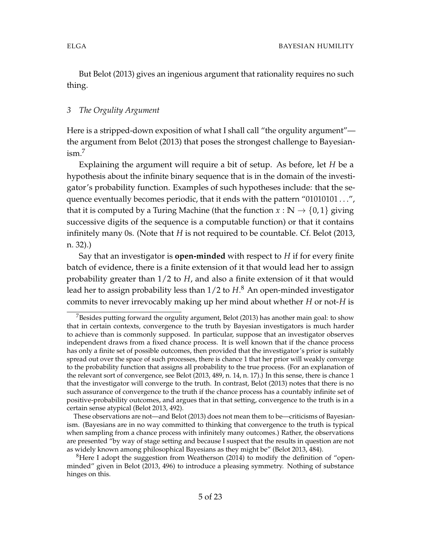But Belot (2013) gives an ingenious argument that rationality requires no such thing.

## *3 The Orgulity Argument*

Here is a stripped-down exposition of what I shall call "the orgulity argument" the argument from Belot (2013) that poses the strongest challenge to Bayesianism.<sup>7</sup>

Explaining the argument will require a bit of setup. As before, let *H* be a hypothesis about the infinite binary sequence that is in the domain of the investigator's probability function. Examples of such hypotheses include: that the sequence eventually becomes periodic, that it ends with the pattern "01010101...", that it is computed by a Turing Machine (that the function  $x : \mathbb{N} \to \{0,1\}$  giving successive digits of the sequence is a computable function) or that it contains infinitely many 0s. (Note that *H* is not required to be countable. Cf. Belot (2013, n. 32).)

Say that an investigator is **open-minded** with respect to *H* if for every finite batch of evidence, there is a finite extension of it that would lead her to assign probability greater than 1/2 to *H*, and also a finite extension of it that would lead her to assign probability less than 1/2 to *H*. <sup>8</sup> An open-minded investigator commits to never irrevocably making up her mind about whether *H* or not-*H* is

<sup>&</sup>lt;sup>7</sup>Besides putting forward the orgulity argument, Belot (2013) has another main goal: to show that in certain contexts, convergence to the truth by Bayesian investigators is much harder to achieve than is commonly supposed. In particular, suppose that an investigator observes independent draws from a fixed chance process. It is well known that if the chance process has only a finite set of possible outcomes, then provided that the investigator's prior is suitably spread out over the space of such processes, there is chance 1 that her prior will weakly converge to the probability function that assigns all probability to the true process. (For an explanation of the relevant sort of convergence, see Belot (2013, 489, n. 14, n. 17).) In this sense, there is chance 1 that the investigator will converge to the truth. In contrast, Belot (2013) notes that there is no such assurance of convergence to the truth if the chance process has a countably infinite set of positive-probability outcomes, and argues that in that setting, convergence to the truth is in a certain sense atypical (Belot 2013, 492).

These observations are not—and Belot (2013) does not mean them to be—criticisms of Bayesianism. (Bayesians are in no way committed to thinking that convergence to the truth is typical when sampling from a chance process with infinitely many outcomes.) Rather, the observations are presented "by way of stage setting and because I suspect that the results in question are not as widely known among philosophical Bayesians as they might be" (Belot 2013, 484).

<sup>&</sup>lt;sup>8</sup>Here I adopt the suggestion from Weatherson (2014) to modify the definition of "openminded" given in Belot (2013, 496) to introduce a pleasing symmetry. Nothing of substance hinges on this.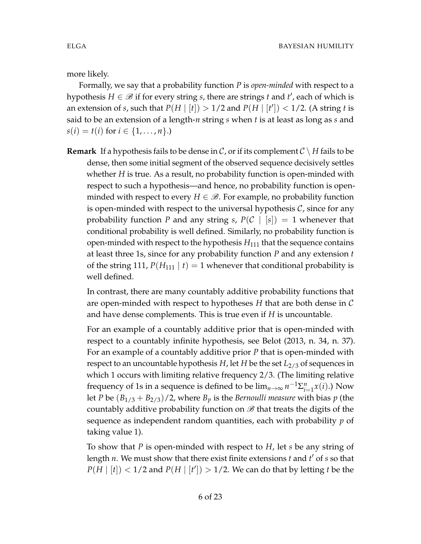more likely.

Formally, we say that a probability function *P* is *open-minded* with respect to a hypothesis  $H \in \mathscr{B}$  if for every string *s*, there are strings *t* and *t'*, each of which is an extension of *s*, such that  $P(H | [t]) > 1/2$  and  $P(H | [t']) < 1/2$ . (A string *t* is said to be an extension of a length-*n* string *s* when *t* is at least as long as *s* and  $s(i) = t(i)$  for  $i \in \{1, ..., n\}$ .)

**Remark** If a hypothesis fails to be dense in C, or if its complement  $C \setminus H$  fails to be dense, then some initial segment of the observed sequence decisively settles whether *H* is true. As a result, no probability function is open-minded with respect to such a hypothesis—and hence, no probability function is openminded with respect to every  $H \in \mathcal{B}$ . For example, no probability function is open-minded with respect to the universal hypothesis  $\mathcal{C}$ , since for any probability function *P* and any string *s*,  $P(C | [s]) = 1$  whenever that conditional probability is well defined. Similarly, no probability function is open-minded with respect to the hypothesis  $H_{111}$  that the sequence contains at least three 1s, since for any probability function *P* and any extension *t* of the string 111,  $P(H_{111} | t) = 1$  whenever that conditional probability is well defined.

In contrast, there are many countably additive probability functions that are open-minded with respect to hypotheses *H* that are both dense in C and have dense complements. This is true even if *H* is uncountable.

For an example of a countably additive prior that is open-minded with respect to a countably infinite hypothesis, see Belot (2013, n. 34, n. 37). For an example of a countably additive prior *P* that is open-minded with respect to an uncountable hypothesis *H*, let *H* be the set  $L_{2/3}$  of sequences in which 1 occurs with limiting relative frequency 2/3. (The limiting relative frequency of 1s in a sequence is defined to be  $\lim_{n\to\infty} n^{-1} \Sigma_{i=1}^n x(i)$ .) Now let *P* be  $(B_{1/3} + B_{2/3})/2$ , where  $B_p$  is the *Bernoulli measure* with bias *p* (the countably additive probability function on  $\mathscr B$  that treats the digits of the sequence as independent random quantities, each with probability *p* of taking value 1).

To show that *P* is open-minded with respect to *H*, let *s* be any string of length *n*. We must show that there exist finite extensions *t* and *t'* of *s* so that  $P(H | [t]) < 1/2$  and  $P(H | [t']) > 1/2$ . We can do that by letting *t* be the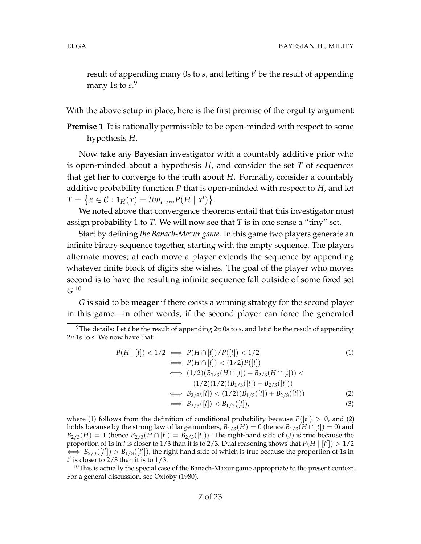result of appending many 0s to *s*, and letting *t'* be the result of appending many 1s to *s*. 9

With the above setup in place, here is the first premise of the orgulity argument:

**Premise 1** It is rationally permissible to be open-minded with respect to some hypothesis *H*.

Now take any Bayesian investigator with a countably additive prior who is open-minded about a hypothesis *H*, and consider the set *T* of sequences that get her to converge to the truth about *H*. Formally, consider a countably additive probability function *P* that is open-minded with respect to *H*, and let  $T = \{x \in C : \mathbf{1}_H(x) = \lim_{i \to \infty} P(H \mid x^i)\}.$ 

We noted above that convergence theorems entail that this investigator must assign probability 1 to *T*. We will now see that *T* is in one sense a "tiny" set.

Start by defining *the Banach-Mazur game*. In this game two players generate an infinite binary sequence together, starting with the empty sequence. The players alternate moves; at each move a player extends the sequence by appending whatever finite block of digits she wishes. The goal of the player who moves second is to have the resulting infinite sequence fall outside of some fixed set *G*. 10

*G* is said to be **meager** if there exists a winning strategy for the second player in this game—in other words, if the second player can force the generated

$$
P(H | [t]) < 1/2 \iff P(H \cap [t]) / P([t]) < 1/2
$$
(1)  
\n
$$
\iff P(H \cap [t]) < (1/2)P([t])
$$
  
\n
$$
\iff (1/2)(B_{1/3}(H \cap [t]) + B_{2/3}(H \cap [t])) <
$$
  
\n
$$
(1/2)(1/2)(B_{1/3}([t]) + B_{2/3}([t]))
$$
  
\n
$$
\iff B_{2/3}([t]) < (1/2)(B_{1/3}([t]) + B_{2/3}([t]))
$$
(2)  
\n
$$
\iff B_{2/3}([t]) < B_{1/3}([t]),
$$

where (1) follows from the definition of conditional probability because  $P([t]) > 0$ , and (2) holds because by the strong law of large numbers,  $B_{1/3}(H) = 0$  (hence  $B_{1/3}(H \cap [t]) = 0$ ) and *B*<sub>2/3</sub>(*H*) = 1 (hence *B*<sub>2/3</sub>(*H* ∩ [*t*]) = *B*<sub>2/3</sub>([*t*])). The right-hand side of (3) is true because the proportion of 1s in *t* is closer to 1/3 than it is to 2/3. Dual reasoning shows that  $P(H | [t']) > 1/2$  $\iff B_{2/3}([t']) > B_{1/3}([t'])$ , the right hand side of which is true because the proportion of 1s in  $t'$  is closer to  $2/3$  than it is to  $1/3$ .

 $10$ This is actually the special case of the Banach-Mazur game appropriate to the present context. For a general discussion, see Oxtoby (1980).

<sup>&</sup>lt;sup>9</sup>The details: Let *t* be the result of appending 2*n* 0s to *s*, and let *t'* be the result of appending 2*n* 1s to *s*. We now have that: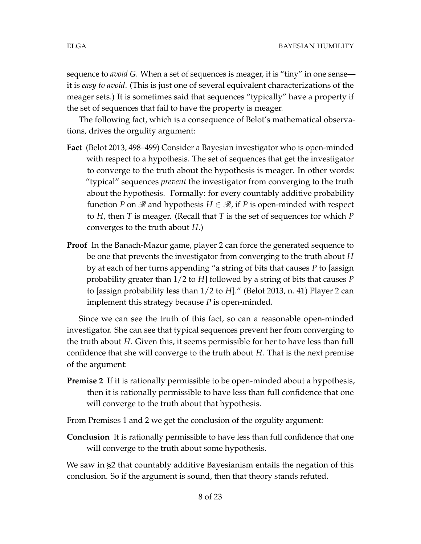sequence to *avoid G*. When a set of sequences is meager, it is "tiny" in one sense it is *easy to avoid*. (This is just one of several equivalent characterizations of the meager sets.) It is sometimes said that sequences "typically" have a property if the set of sequences that fail to have the property is meager.

The following fact, which is a consequence of Belot's mathematical observations, drives the orgulity argument:

- **Fact** (Belot 2013, 498–499) Consider a Bayesian investigator who is open-minded with respect to a hypothesis. The set of sequences that get the investigator to converge to the truth about the hypothesis is meager. In other words: "typical" sequences *prevent* the investigator from converging to the truth about the hypothesis. Formally: for every countably additive probability function *P* on  $\mathscr B$  and hypothesis  $H \in \mathscr B$ , if *P* is open-minded with respect to *H*, then *T* is meager. (Recall that *T* is the set of sequences for which *P* converges to the truth about *H*.)
- **Proof** In the Banach-Mazur game, player 2 can force the generated sequence to be one that prevents the investigator from converging to the truth about *H* by at each of her turns appending "a string of bits that causes *P* to [assign probability greater than 1/2 to *H*] followed by a string of bits that causes *P* to [assign probability less than 1/2 to *H*]." (Belot 2013, n. 41) Player 2 can implement this strategy because *P* is open-minded.

Since we can see the truth of this fact, so can a reasonable open-minded investigator. She can see that typical sequences prevent her from converging to the truth about *H*. Given this, it seems permissible for her to have less than full confidence that she will converge to the truth about *H*. That is the next premise of the argument:

**Premise 2** If it is rationally permissible to be open-minded about a hypothesis, then it is rationally permissible to have less than full confidence that one will converge to the truth about that hypothesis.

From Premises 1 and 2 we get the conclusion of the orgulity argument:

**Conclusion** It is rationally permissible to have less than full confidence that one will converge to the truth about some hypothesis.

We saw in §2 that countably additive Bayesianism entails the negation of this conclusion. So if the argument is sound, then that theory stands refuted.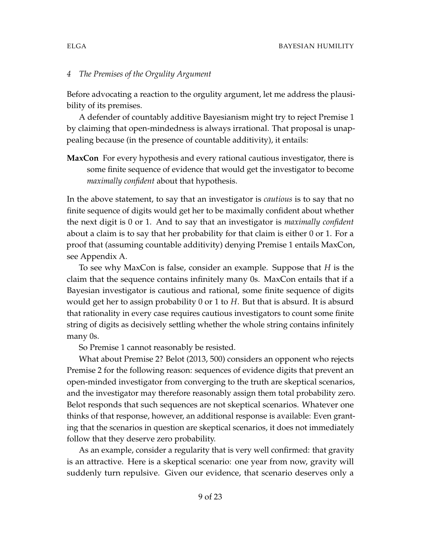### *4 The Premises of the Orgulity Argument*

Before advocating a reaction to the orgulity argument, let me address the plausibility of its premises.

A defender of countably additive Bayesianism might try to reject Premise 1 by claiming that open-mindedness is always irrational. That proposal is unappealing because (in the presence of countable additivity), it entails:

**MaxCon** For every hypothesis and every rational cautious investigator, there is some finite sequence of evidence that would get the investigator to become *maximally confident* about that hypothesis.

In the above statement, to say that an investigator is *cautious* is to say that no finite sequence of digits would get her to be maximally confident about whether the next digit is 0 or 1. And to say that an investigator is *maximally confident* about a claim is to say that her probability for that claim is either 0 or 1. For a proof that (assuming countable additivity) denying Premise 1 entails MaxCon, see Appendix A.

To see why MaxCon is false, consider an example. Suppose that *H* is the claim that the sequence contains infinitely many 0s. MaxCon entails that if a Bayesian investigator is cautious and rational, some finite sequence of digits would get her to assign probability 0 or 1 to *H*. But that is absurd. It is absurd that rationality in every case requires cautious investigators to count some finite string of digits as decisively settling whether the whole string contains infinitely many 0s.

So Premise 1 cannot reasonably be resisted.

What about Premise 2? Belot (2013, 500) considers an opponent who rejects Premise 2 for the following reason: sequences of evidence digits that prevent an open-minded investigator from converging to the truth are skeptical scenarios, and the investigator may therefore reasonably assign them total probability zero. Belot responds that such sequences are not skeptical scenarios. Whatever one thinks of that response, however, an additional response is available: Even granting that the scenarios in question are skeptical scenarios, it does not immediately follow that they deserve zero probability.

As an example, consider a regularity that is very well confirmed: that gravity is an attractive. Here is a skeptical scenario: one year from now, gravity will suddenly turn repulsive. Given our evidence, that scenario deserves only a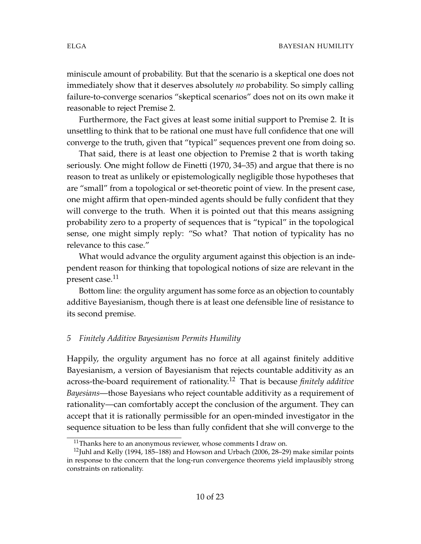miniscule amount of probability. But that the scenario is a skeptical one does not immediately show that it deserves absolutely *no* probability. So simply calling failure-to-converge scenarios "skeptical scenarios" does not on its own make it reasonable to reject Premise 2.

Furthermore, the Fact gives at least some initial support to Premise 2. It is unsettling to think that to be rational one must have full confidence that one will converge to the truth, given that "typical" sequences prevent one from doing so.

That said, there is at least one objection to Premise 2 that is worth taking seriously. One might follow de Finetti (1970, 34–35) and argue that there is no reason to treat as unlikely or epistemologically negligible those hypotheses that are "small" from a topological or set-theoretic point of view. In the present case, one might affirm that open-minded agents should be fully confident that they will converge to the truth. When it is pointed out that this means assigning probability zero to a property of sequences that is "typical" in the topological sense, one might simply reply: "So what? That notion of typicality has no relevance to this case."

What would advance the orgulity argument against this objection is an independent reason for thinking that topological notions of size are relevant in the present case.<sup>11</sup>

Bottom line: the orgulity argument has some force as an objection to countably additive Bayesianism, though there is at least one defensible line of resistance to its second premise.

## *5 Finitely Additive Bayesianism Permits Humility*

Happily, the orgulity argument has no force at all against finitely additive Bayesianism, a version of Bayesianism that rejects countable additivity as an across-the-board requirement of rationality.<sup>12</sup> That is because *finitely additive Bayesians*—those Bayesians who reject countable additivity as a requirement of rationality—can comfortably accept the conclusion of the argument. They can accept that it is rationally permissible for an open-minded investigator in the sequence situation to be less than fully confident that she will converge to the

 $11$ Thanks here to an anonymous reviewer, whose comments I draw on.

 $12$ Juhl and Kelly (1994, 185–188) and Howson and Urbach (2006, 28–29) make similar points in response to the concern that the long-run convergence theorems yield implausibly strong constraints on rationality.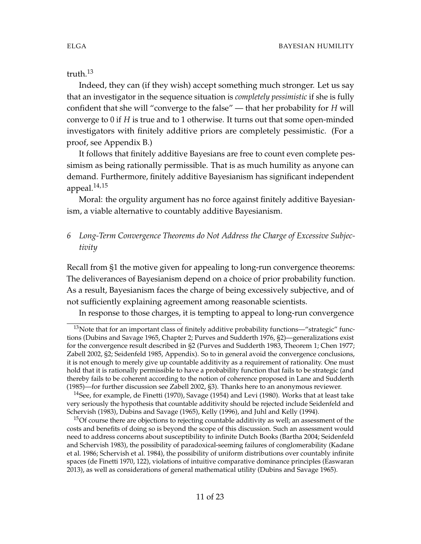truth.<sup>13</sup>

Indeed, they can (if they wish) accept something much stronger. Let us say that an investigator in the sequence situation is *completely pessimistic* if she is fully confident that she will "converge to the false" — that her probability for *H* will converge to 0 if *H* is true and to 1 otherwise. It turns out that some open-minded investigators with finitely additive priors are completely pessimistic. (For a proof, see Appendix B.)

It follows that finitely additive Bayesians are free to count even complete pessimism as being rationally permissible. That is as much humility as anyone can demand. Furthermore, finitely additive Bayesianism has significant independent appeal. $14,15$ 

Moral: the orgulity argument has no force against finitely additive Bayesianism, a viable alternative to countably additive Bayesianism.

# *6 Long-Term Convergence Theorems do Not Address the Charge of Excessive Subjectivity*

Recall from §1 the motive given for appealing to long-run convergence theorems: The deliverances of Bayesianism depend on a choice of prior probability function. As a result, Bayesianism faces the charge of being excessively subjective, and of not sufficiently explaining agreement among reasonable scientists.

In response to those charges, it is tempting to appeal to long-run convergence

 $13$ Note that for an important class of finitely additive probability functions—"strategic" functions (Dubins and Savage 1965, Chapter 2; Purves and Sudderth 1976, §2)—generalizations exist for the convergence result described in §2 (Purves and Sudderth 1983, Theorem 1; Chen 1977; Zabell 2002, §2; Seidenfeld 1985, Appendix). So to in general avoid the convergence conclusions, it is not enough to merely give up countable additivity as a requirement of rationality. One must hold that it is rationally permissible to have a probability function that fails to be strategic (and thereby fails to be coherent according to the notion of coherence proposed in Lane and Sudderth (1985)—for further discussion see Zabell 2002, §3). Thanks here to an anonymous reviewer.

<sup>&</sup>lt;sup>14</sup>See, for example, de Finetti (1970), Savage (1954) and Levi (1980). Works that at least take very seriously the hypothesis that countable additivity should be rejected include Seidenfeld and Schervish (1983), Dubins and Savage (1965), Kelly (1996), and Juhl and Kelly (1994).

<sup>&</sup>lt;sup>15</sup>Of course there are objections to rejecting countable additivity as well; an assessment of the costs and benefits of doing so is beyond the scope of this discussion. Such an assessment would need to address concerns about susceptibility to infinite Dutch Books (Bartha 2004; Seidenfeld and Schervish 1983), the possibility of paradoxical-seeming failures of conglomerability (Kadane et al. 1986; Schervish et al. 1984), the possibility of uniform distributions over countably infinite spaces (de Finetti 1970, 122), violations of intuitive comparative dominance principles (Easwaran 2013), as well as considerations of general mathematical utility (Dubins and Savage 1965).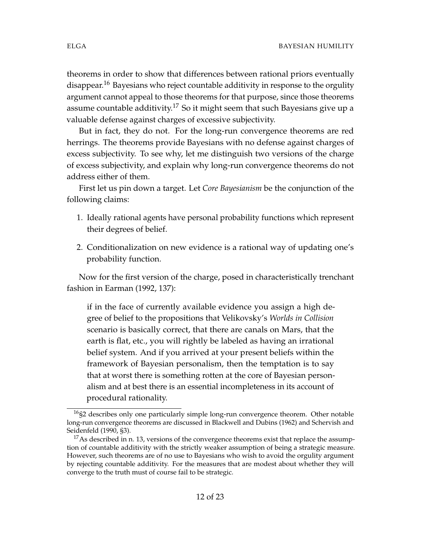theorems in order to show that differences between rational priors eventually disappear.<sup>16</sup> Bayesians who reject countable additivity in response to the orgulity argument cannot appeal to those theorems for that purpose, since those theorems assume countable additivity.<sup>17</sup> So it might seem that such Bayesians give up a valuable defense against charges of excessive subjectivity.

But in fact, they do not. For the long-run convergence theorems are red herrings. The theorems provide Bayesians with no defense against charges of excess subjectivity. To see why, let me distinguish two versions of the charge of excess subjectivity, and explain why long-run convergence theorems do not address either of them.

First let us pin down a target. Let *Core Bayesianism* be the conjunction of the following claims:

- 1. Ideally rational agents have personal probability functions which represent their degrees of belief.
- 2. Conditionalization on new evidence is a rational way of updating one's probability function.

Now for the first version of the charge, posed in characteristically trenchant fashion in Earman (1992, 137):

if in the face of currently available evidence you assign a high degree of belief to the propositions that Velikovsky's *Worlds in Collision* scenario is basically correct, that there are canals on Mars, that the earth is flat, etc., you will rightly be labeled as having an irrational belief system. And if you arrived at your present beliefs within the framework of Bayesian personalism, then the temptation is to say that at worst there is something rotten at the core of Bayesian personalism and at best there is an essential incompleteness in its account of procedural rationality.

<sup>&</sup>lt;sup>16</sup>§2 describes only one particularly simple long-run convergence theorem. Other notable long-run convergence theorems are discussed in Blackwell and Dubins (1962) and Schervish and Seidenfeld (1990, §3).

<sup>&</sup>lt;sup>17</sup>As described in n. 13, versions of the convergence theorems exist that replace the assumption of countable additivity with the strictly weaker assumption of being a strategic measure. However, such theorems are of no use to Bayesians who wish to avoid the orgulity argument by rejecting countable additivity. For the measures that are modest about whether they will converge to the truth must of course fail to be strategic.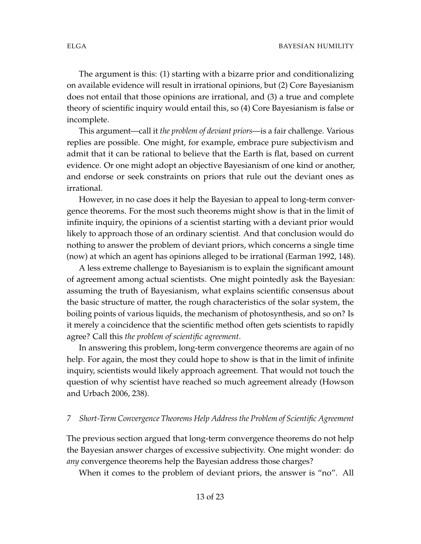The argument is this: (1) starting with a bizarre prior and conditionalizing on available evidence will result in irrational opinions, but (2) Core Bayesianism does not entail that those opinions are irrational, and (3) a true and complete theory of scientific inquiry would entail this, so (4) Core Bayesianism is false or incomplete.

This argument—call it *the problem of deviant priors*—is a fair challenge. Various replies are possible. One might, for example, embrace pure subjectivism and admit that it can be rational to believe that the Earth is flat, based on current evidence. Or one might adopt an objective Bayesianism of one kind or another, and endorse or seek constraints on priors that rule out the deviant ones as irrational.

However, in no case does it help the Bayesian to appeal to long-term convergence theorems. For the most such theorems might show is that in the limit of infinite inquiry, the opinions of a scientist starting with a deviant prior would likely to approach those of an ordinary scientist. And that conclusion would do nothing to answer the problem of deviant priors, which concerns a single time (now) at which an agent has opinions alleged to be irrational (Earman 1992, 148).

A less extreme challenge to Bayesianism is to explain the significant amount of agreement among actual scientists. One might pointedly ask the Bayesian: assuming the truth of Bayesianism, what explains scientific consensus about the basic structure of matter, the rough characteristics of the solar system, the boiling points of various liquids, the mechanism of photosynthesis, and so on? Is it merely a coincidence that the scientific method often gets scientists to rapidly agree? Call this *the problem of scientific agreement*.

In answering this problem, long-term convergence theorems are again of no help. For again, the most they could hope to show is that in the limit of infinite inquiry, scientists would likely approach agreement. That would not touch the question of why scientist have reached so much agreement already (Howson and Urbach 2006, 238).

### *7 Short-Term Convergence Theorems Help Address the Problem of Scientific Agreement*

The previous section argued that long-term convergence theorems do not help the Bayesian answer charges of excessive subjectivity. One might wonder: do *any* convergence theorems help the Bayesian address those charges?

When it comes to the problem of deviant priors, the answer is "no". All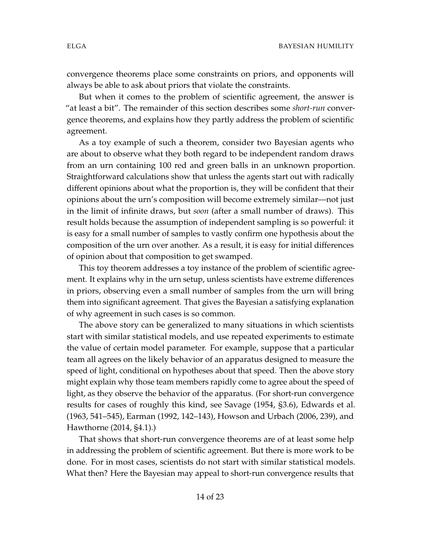convergence theorems place some constraints on priors, and opponents will always be able to ask about priors that violate the constraints.

But when it comes to the problem of scientific agreement, the answer is "at least a bit". The remainder of this section describes some *short-run* convergence theorems, and explains how they partly address the problem of scientific agreement.

As a toy example of such a theorem, consider two Bayesian agents who are about to observe what they both regard to be independent random draws from an urn containing 100 red and green balls in an unknown proportion. Straightforward calculations show that unless the agents start out with radically different opinions about what the proportion is, they will be confident that their opinions about the urn's composition will become extremely similar—not just in the limit of infinite draws, but *soon* (after a small number of draws). This result holds because the assumption of independent sampling is so powerful: it is easy for a small number of samples to vastly confirm one hypothesis about the composition of the urn over another. As a result, it is easy for initial differences of opinion about that composition to get swamped.

This toy theorem addresses a toy instance of the problem of scientific agreement. It explains why in the urn setup, unless scientists have extreme differences in priors, observing even a small number of samples from the urn will bring them into significant agreement. That gives the Bayesian a satisfying explanation of why agreement in such cases is so common.

The above story can be generalized to many situations in which scientists start with similar statistical models, and use repeated experiments to estimate the value of certain model parameter. For example, suppose that a particular team all agrees on the likely behavior of an apparatus designed to measure the speed of light, conditional on hypotheses about that speed. Then the above story might explain why those team members rapidly come to agree about the speed of light, as they observe the behavior of the apparatus. (For short-run convergence results for cases of roughly this kind, see Savage (1954, §3.6), Edwards et al. (1963, 541–545), Earman (1992, 142–143), Howson and Urbach (2006, 239), and Hawthorne (2014, §4.1).)

That shows that short-run convergence theorems are of at least some help in addressing the problem of scientific agreement. But there is more work to be done. For in most cases, scientists do not start with similar statistical models. What then? Here the Bayesian may appeal to short-run convergence results that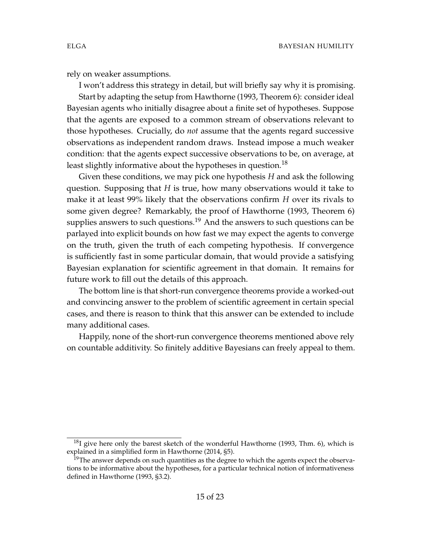rely on weaker assumptions.

I won't address this strategy in detail, but will briefly say why it is promising. Start by adapting the setup from Hawthorne (1993, Theorem 6): consider ideal Bayesian agents who initially disagree about a finite set of hypotheses. Suppose that the agents are exposed to a common stream of observations relevant to those hypotheses. Crucially, do *not* assume that the agents regard successive observations as independent random draws. Instead impose a much weaker condition: that the agents expect successive observations to be, on average, at least slightly informative about the hypotheses in question.<sup>18</sup>

Given these conditions, we may pick one hypothesis *H* and ask the following question. Supposing that *H* is true, how many observations would it take to make it at least 99% likely that the observations confirm *H* over its rivals to some given degree? Remarkably, the proof of Hawthorne (1993, Theorem 6) supplies answers to such questions.<sup>19</sup> And the answers to such questions can be parlayed into explicit bounds on how fast we may expect the agents to converge on the truth, given the truth of each competing hypothesis. If convergence is sufficiently fast in some particular domain, that would provide a satisfying Bayesian explanation for scientific agreement in that domain. It remains for future work to fill out the details of this approach.

The bottom line is that short-run convergence theorems provide a worked-out and convincing answer to the problem of scientific agreement in certain special cases, and there is reason to think that this answer can be extended to include many additional cases.

Happily, none of the short-run convergence theorems mentioned above rely on countable additivity. So finitely additive Bayesians can freely appeal to them.

 $^{18}$ I give here only the barest sketch of the wonderful Hawthorne (1993, Thm. 6), which is explained in a simplified form in Hawthorne (2014, §5).

 $19$ The answer depends on such quantities as the degree to which the agents expect the observations to be informative about the hypotheses, for a particular technical notion of informativeness defined in Hawthorne (1993, §3.2).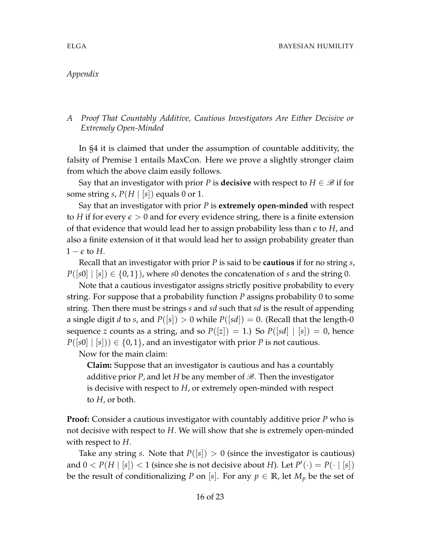## *Appendix*

# *A Proof That Countably Additive, Cautious Investigators Are Either Decisive or Extremely Open-Minded*

In §4 it is claimed that under the assumption of countable additivity, the falsity of Premise 1 entails MaxCon. Here we prove a slightly stronger claim from which the above claim easily follows.

Say that an investigator with prior *P* is **decisive** with respect to  $H \in \mathcal{B}$  if for some string *s*,  $P(H | s|)$  equals 0 or 1.

Say that an investigator with prior *P* is **extremely open-minded** with respect to *H* if for every  $\epsilon > 0$  and for every evidence string, there is a finite extension of that evidence that would lead her to assign probability less than *e* to *H*, and also a finite extension of it that would lead her to assign probability greater than  $1 - \epsilon$  to *H*.

Recall that an investigator with prior *P* is said to be **cautious** if for no string *s*,  $P([s0] | [s]) \in \{0,1\}$ , where *s*0 denotes the concatenation of *s* and the string 0.

Note that a cautious investigator assigns strictly positive probability to every string. For suppose that a probability function *P* assigns probability 0 to some string. Then there must be strings *s* and *sd* such that *sd* is the result of appending a single digit *d* to *s*, and  $P([s]) > 0$  while  $P([sd]) = 0$ . (Recall that the length-0 sequence *z* counts as a string, and so  $P([z]) = 1$ .) So  $P([sd] | [s]) = 0$ , hence  $P([s0] | [s]) \in \{0,1\}$ , and an investigator with prior *P* is not cautious.

Now for the main claim:

**Claim:** Suppose that an investigator is cautious and has a countably additive prior *P*, and let *H* be any member of  $\mathscr{B}$ . Then the investigator is decisive with respect to *H*, or extremely open-minded with respect to *H*, or both.

**Proof:** Consider a cautious investigator with countably additive prior *P* who is not decisive with respect to *H*. We will show that she is extremely open-minded with respect to *H*.

Take any string *s*. Note that  $P([s]) > 0$  (since the investigator is cautious) and  $0 < P(H \mid [s]) < 1$  (since she is not decisive about *H*). Let  $P'(\cdot) = P(\cdot \mid [s])$ be the result of conditionalizing *P* on [*s*]. For any  $p \in \mathbb{R}$ , let  $M_p$  be the set of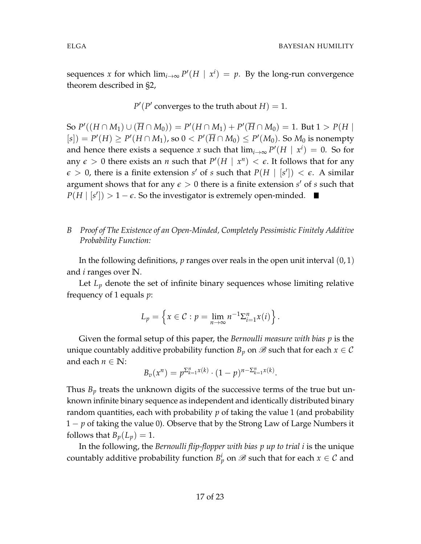sequences *x* for which  $\lim_{i\to\infty} P'(H \mid x^i) = p$ . By the long-run convergence theorem described in §2,

 $P'(P'$  converges to the truth about  $H$ ) = 1.

 ${\rm So} \; P'((H \cap M_1) \cup (\overline{H} \cap M_0)) = P'(H \cap M_1) + P'(\overline{H} \cap M_0) = 1. \; {\rm But} \; 1 > P(H \mid M_1)$  $P(F|F) \ge P'(H \cap M_1)$ , so  $0 < P'(\overline{H} \cap M_0) \le P'(M_0)$ . So  $M_0$  is nonempty and hence there exists a sequence *x* such that  $\lim_{i\to\infty} P'(H \mid x^i) = 0$ . So for any  $\epsilon > 0$  there exists an *n* such that  $P'(H | x^n) < \epsilon$ . It follows that for any  $\epsilon > 0$ , there is a finite extension *s'* of *s* such that  $P(H | [s']) < \epsilon$ . A similar argument shows that for any  $\epsilon > 0$  there is a finite extension  $s'$  of  $s$  such that  $P(H | [s']) > 1 - \epsilon$ . So the investigator is extremely open-minded.

## *B Proof of The Existence of an Open-Minded, Completely Pessimistic Finitely Additive Probability Function:*

In the following definitions,  $p$  ranges over reals in the open unit interval  $(0, 1)$ and *i* ranges over **N**.

Let  $L_p$  denote the set of infinite binary sequences whose limiting relative frequency of 1 equals *p*:

$$
L_p = \left\{ x \in \mathcal{C} : p = \lim_{n \to \infty} n^{-1} \Sigma_{i=1}^n x(i) \right\}.
$$

Given the formal setup of this paper, the *Bernoulli measure with bias p* is the unique countably additive probability function  $B_p$  on  $\mathscr B$  such that for each  $x \in \mathcal C$ and each  $n \in \mathbb{N}$ :

$$
B_v(x^n) = p^{\sum_{k=1}^n x(k)} \cdot (1-p)^{n-\sum_{k=1}^n x(k)}.
$$

Thus  $B_p$  treats the unknown digits of the successive terms of the true but unknown infinite binary sequence as independent and identically distributed binary random quantities, each with probability *p* of taking the value 1 (and probability 1 − *p* of taking the value 0). Observe that by the Strong Law of Large Numbers it follows that  $B_p(L_p) = 1$ .

In the following, the *Bernoulli flip-flopper with bias p up to trial i* is the unique countably additive probability function  $B_p^i$  on  $\mathscr B$  such that for each  $x\in\mathcal C$  and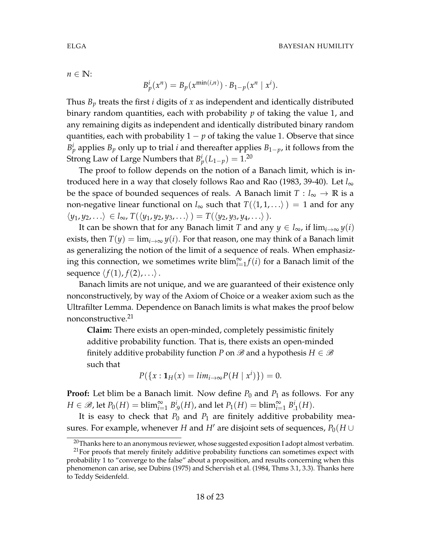$n \in \mathbb{N}$ :

$$
B_p^i(x^n) = B_p(x^{\min(i,n)}) \cdot B_{1-p}(x^n \mid x^i).
$$

Thus *B<sup>p</sup>* treats the first *i* digits of *x* as independent and identically distributed binary random quantities, each with probability *p* of taking the value 1, and any remaining digits as independent and identically distributed binary random quantities, each with probability  $1 - p$  of taking the value 1. Observe that since  $B_p^i$  applies  $B_p$  only up to trial *i* and thereafter applies  $B_{1-p}$ , it follows from the Strong Law of Large Numbers that  $B_p^i(L_{1-p}) = 1.20$ 

The proof to follow depends on the notion of a Banach limit, which is introduced here in a way that closely follows Rao and Rao (1983, 39-40). Let *l*∞ be the space of bounded sequences of reals. A Banach limit  $T: l_{\infty} \to \mathbb{R}$  is a non-negative linear functional on  $l_{\infty}$  such that  $T(\langle 1, 1, \ldots \rangle) = 1$  and for any  $\langle y_1, y_2, \ldots \rangle \in l_{\infty}, T(\langle y_1, y_2, y_3, \ldots \rangle) = T(\langle y_2, y_3, y_4, \ldots \rangle).$ 

It can be shown that for any Banach limit *T* and any  $y \in l_{\infty}$ , if  $\lim_{i \to \infty} y(i)$ exists, then  $T(y) = \lim_{i \to \infty} y(i)$ . For that reason, one may think of a Banach limit as generalizing the notion of the limit of a sequence of reals. When emphasizing this connection, we sometimes write  $\text{blim}_{i=1}^{\infty} f(i)$  for a Banach limit of the sequence  $\langle f(1), f(2), \ldots \rangle$ .

Banach limits are not unique, and we are guaranteed of their existence only nonconstructively, by way of the Axiom of Choice or a weaker axiom such as the Ultrafilter Lemma. Dependence on Banach limits is what makes the proof below nonconstructive.<sup>21</sup>

**Claim:** There exists an open-minded, completely pessimistic finitely additive probability function. That is, there exists an open-minded finitely additive probability function *P* on  $\mathscr B$  and a hypothesis  $H \in \mathscr B$ such that

$$
P(\{x: \mathbf{1}_H(x) = \lim_{i \to \infty} P(H \mid x^i)\}) = 0.
$$

**Proof:** Let blim be a Banach limit. Now define  $P_0$  and  $P_1$  as follows. For any  $H \in \mathscr{B}$ , let  $P_0(H) = \text{blim}_{i=1}^{\infty} B^i_{.9}(H)$ , and let  $P_1(H) = \text{blim}_{i=1}^{\infty} B^i_{.1}(H)$ .

It is easy to check that  $P_0$  and  $P_1$  are finitely additive probability measures. For example, whenever *H* and *H'* are disjoint sets of sequences,  $P_0(H \cup$ 

 $20$ Thanks here to an anonymous reviewer, whose suggested exposition I adopt almost verbatim.

 $21$  For proofs that merely finitely additive probability functions can sometimes expect with probability 1 to "converge to the false" about a proposition, and results concerning when this phenomenon can arise, see Dubins (1975) and Schervish et al. (1984, Thms 3.1, 3.3). Thanks here to Teddy Seidenfeld.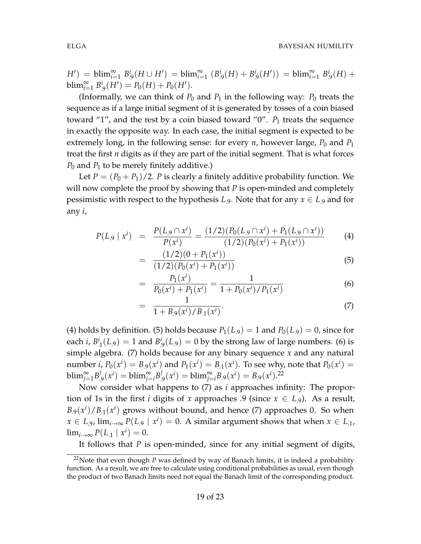$H'$ ) = blim $\sum_{i=1}^{\infty} B^i_9(H \cup H') =$  blim $\sum_{i=1}^{\infty} (B^i_9(H) + B^i_9(H')) =$  blim $\sum_{i=1}^{\infty} B^i_9(H) +$  $\text{blim}_{i=1}^{\infty} B_{.9}^{i}(H') = P_0(H) + P_0(H').$ 

(Informally, we can think of  $P_0$  and  $P_1$  in the following way:  $P_0$  treats the sequence as if a large initial segment of it is generated by tosses of a coin biased toward "1", and the rest by a coin biased toward "0".  $P_1$  treats the sequence in exactly the opposite way. In each case, the initial segment is expected to be extremely long, in the following sense: for every  $n$ , however large,  $P_0$  and  $P_1$ treat the first *n* digits as if they are part of the initial segment. That is what forces *P*<sup>0</sup> and *P*<sup>1</sup> to be merely finitely additive.)

Let  $P = (P_0 + P_1)/2$ . *P* is clearly a finitely additive probability function. We will now complete the proof by showing that *P* is open-minded and completely pessimistic with respect to the hypothesis *L*.9. Note that for any *x* ∈ *L*.9 and for any *i*,

$$
P(L_9 \mid x^i) = \frac{P(L_9 \cap x^i)}{P(x^i)} = \frac{(1/2)(P_0(L_9 \cap x^i) + P_1(L_9 \cap x^i))}{(1/2)(P_0(x^i) + P_1(x^i))}
$$
(4)

$$
= \frac{(1/2)(0+P_1(x^i))}{(1/2)(P_0(x^i)+P_1(x^i))}
$$
\n(5)

$$
= \frac{P_1(x^i)}{P_0(x^i) + P_1(x^i)} = \frac{1}{1 + P_0(x^i) / P_1(x^i)}
$$
(6)

$$
= \frac{1}{1 + B_9(x^i)/B_{.1}(x^i)}.\tag{7}
$$

(4) holds by definition. (5) holds because  $P_1(L_9) = 1$  and  $P_0(L_9) = 0$ , since for each *i*,  $B^i_{.1}(L_9) = 1$  and  $B^i_{.9}(L_9) = 0$  by the strong law of large numbers. (6) is simple algebra. (7) holds because for any binary sequence *x* and any natural number *i*,  $P_0(x^i) = B_0(x^i)$  and  $P_1(x^i) = B_{.1}(x^i)$ . To see why, note that  $P_0(x^i) =$  $\text{blim}_{j=1}^{\infty} B_{.9}^{j}(x^{i}) = \text{blim}_{j=i}^{\infty} B_{.9}^{j}(x^{i}) = \text{blim}_{j=i}^{\infty} B_{.9}(x^{i}) = B_{.9}(x^{i}).^{22}$ 

Now consider what happens to (7) as *i* approaches infinity: The proportion of 1s in the first *i* digits of *x* approaches .9 (since  $x \in L_9$ ). As a result,  $B_{.9}(x^i)/B_{.1}(x^i)$  grows without bound, and hence (7) approaches 0. So when *x* ∈ *L*<sub>.9</sub>, lim<sub>*i*→∞</sub>  $P(L_9 \mid x^i) = 0$ . A similar argument shows that when *x* ∈ *L*<sub>.1</sub>,  $\lim_{i\to\infty} P(L_{.1} | x^i) = 0.$ 

It follows that *P* is open-minded, since for any initial segment of digits,

<sup>&</sup>lt;sup>22</sup>Note that even though  $P$  was defined by way of Banach limits, it is indeed a probability function. As a result, we are free to calculate using conditional probabilities as usual, even though the product of two Banach limits need not equal the Banach limit of the corresponding product.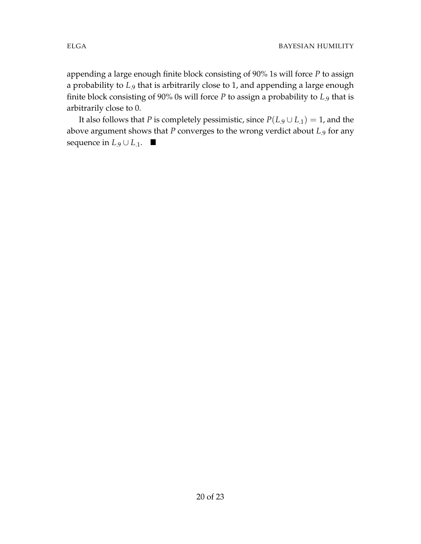appending a large enough finite block consisting of 90% 1s will force *P* to assign a probability to *L*.9 that is arbitrarily close to 1, and appending a large enough finite block consisting of 90% 0s will force *P* to assign a probability to *L*.9 that is arbitrarily close to 0.

It also follows that *P* is completely pessimistic, since  $P(L_9 \cup L_1) = 1$ , and the above argument shows that *P* converges to the wrong verdict about *L*.9 for any sequence in  $L_9 \cup L_{11}$ . ■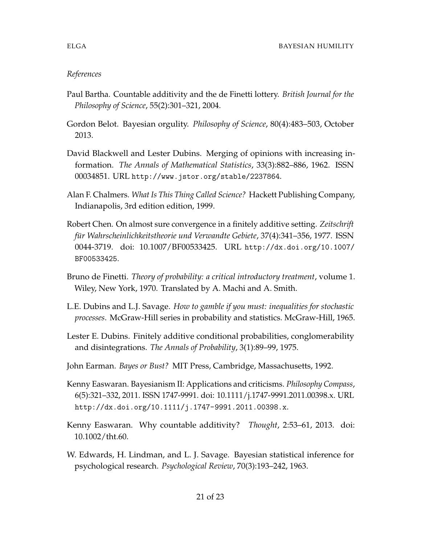# *References*

- Paul Bartha. Countable additivity and the de Finetti lottery. *British Journal for the Philosophy of Science*, 55(2):301–321, 2004.
- Gordon Belot. Bayesian orgulity. *Philosophy of Science*, 80(4):483–503, October 2013.
- David Blackwell and Lester Dubins. Merging of opinions with increasing information. *The Annals of Mathematical Statistics*, 33(3):882–886, 1962. ISSN 00034851. URL http://www.jstor.org/stable/2237864.
- Alan F. Chalmers. *What Is This Thing Called Science?* Hackett Publishing Company, Indianapolis, 3rd edition edition, 1999.
- Robert Chen. On almost sure convergence in a finitely additive setting. *Zeitschrift f ¨ur Wahrscheinlichkeitstheorie und Verwandte Gebiete*, 37(4):341–356, 1977. ISSN 0044-3719. doi: 10.1007/BF00533425. URL http://dx.doi.org/10.1007/ BF00533425.
- Bruno de Finetti. *Theory of probability: a critical introductory treatment*, volume 1. Wiley, New York, 1970. Translated by A. Machi and A. Smith.
- L.E. Dubins and L.J. Savage. *How to gamble if you must: inequalities for stochastic processes*. McGraw-Hill series in probability and statistics. McGraw-Hill, 1965.
- Lester E. Dubins. Finitely additive conditional probabilities, conglomerability and disintegrations. *The Annals of Probability*, 3(1):89–99, 1975.
- John Earman. *Bayes or Bust?* MIT Press, Cambridge, Massachusetts, 1992.
- Kenny Easwaran. Bayesianism II: Applications and criticisms. *Philosophy Compass*, 6(5):321–332, 2011. ISSN 1747-9991. doi: 10.1111/j.1747-9991.2011.00398.x. URL http://dx.doi.org/10.1111/j.1747-9991.2011.00398.x.
- Kenny Easwaran. Why countable additivity? *Thought*, 2:53–61, 2013. doi: 10.1002/tht.60.
- W. Edwards, H. Lindman, and L. J. Savage. Bayesian statistical inference for psychological research. *Psychological Review*, 70(3):193–242, 1963.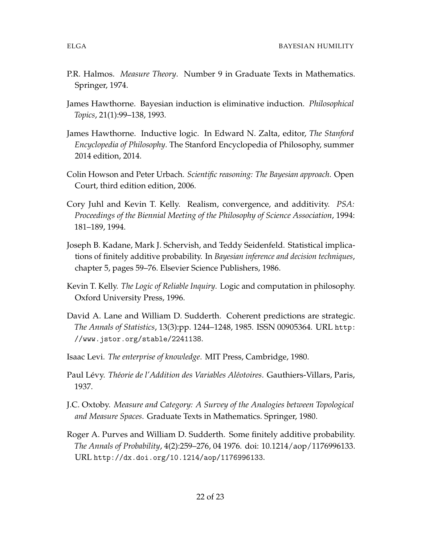- P.R. Halmos. *Measure Theory*. Number 9 in Graduate Texts in Mathematics. Springer, 1974.
- James Hawthorne. Bayesian induction is eliminative induction. *Philosophical Topics*, 21(1):99–138, 1993.
- James Hawthorne. Inductive logic. In Edward N. Zalta, editor, *The Stanford Encyclopedia of Philosophy*. The Stanford Encyclopedia of Philosophy, summer 2014 edition, 2014.
- Colin Howson and Peter Urbach. *Scientific reasoning: The Bayesian approach*. Open Court, third edition edition, 2006.
- Cory Juhl and Kevin T. Kelly. Realism, convergence, and additivity. *PSA: Proceedings of the Biennial Meeting of the Philosophy of Science Association*, 1994: 181–189, 1994.
- Joseph B. Kadane, Mark J. Schervish, and Teddy Seidenfeld. Statistical implications of finitely additive probability. In *Bayesian inference and decision techniques*, chapter 5, pages 59–76. Elsevier Science Publishers, 1986.
- Kevin T. Kelly. *The Logic of Reliable Inquiry*. Logic and computation in philosophy. Oxford University Press, 1996.
- David A. Lane and William D. Sudderth. Coherent predictions are strategic. *The Annals of Statistics*, 13(3):pp. 1244–1248, 1985. ISSN 00905364. URL http: //www.jstor.org/stable/2241138.
- Isaac Levi. *The enterprise of knowledge*. MIT Press, Cambridge, 1980.
- Paul Lévy. *Théorie de l'Addition des Variables Aléotoires*. Gauthiers-Villars, Paris, 1937.
- J.C. Oxtoby. *Measure and Category: A Survey of the Analogies between Topological and Measure Spaces*. Graduate Texts in Mathematics. Springer, 1980.
- Roger A. Purves and William D. Sudderth. Some finitely additive probability. *The Annals of Probability*, 4(2):259–276, 04 1976. doi: 10.1214/aop/1176996133. URL http://dx.doi.org/10.1214/aop/1176996133.